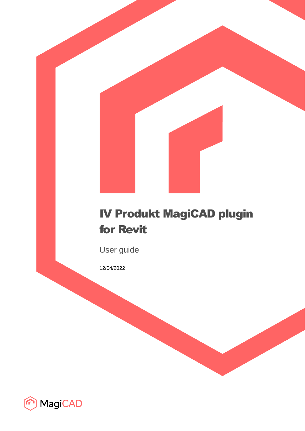# IV Produkt MagiCAD plugin for Revit

User guide

12/04/2022

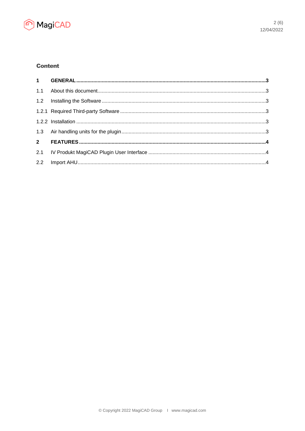

# **Content**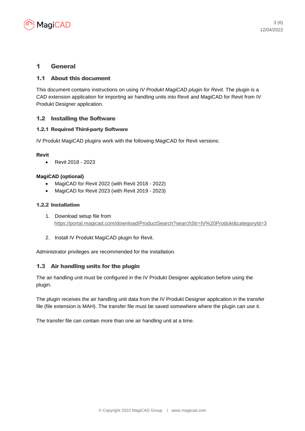

## 1 General

## 1.1 About this document

This document contains instructions on using *IV Produkt MagiCAD plugin for Revit*. The plugin is a CAD extension application for importing air handling units into Revit and MagiCAD for Revit from IV Produkt Designer application.

## 1.2 Installing the Software

#### 1.2.1 Required Third-party Software

IV Produkt MagiCAD plugins work with the following MagiCAD for Revit versions:

#### **Revit**

• Revit 2018 - 2023

#### **MagiCAD (optional)**

- MagiCAD for Revit 2022 (with Revit 2018 2022)
- MagiCAD for Revit 2023 (with Revit 2019 2023)

#### 1.2.2 Installation

- 1. Download setup file from <https://portal.magicad.com/download/ProductSearch?searchStr=IV%20Produkt&categoryId=3>
- 2. Install IV Produkt MagiCAD plugin for Revit.

Administrator privileges are recommended for the installation.

## 1.3 Air handling units for the plugin

The air handling unit must be configured in the IV Produkt Designer application before using the plugin.

The plugin receives the air handling unit data from the IV Produkt Designer application in the transfer file (file extension is MAH). The transfer file must be saved somewhere where the plugin can use it.

The transfer file can contain more than one air handling unit at a time.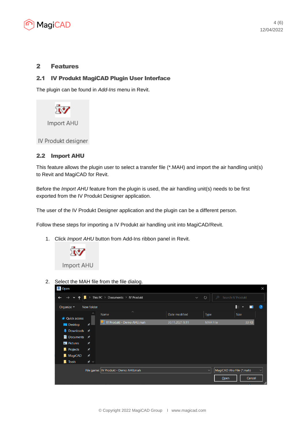

## 2 Features

## 2.1 IV Produkt MagiCAD Plugin User Interface

The plugin can be found in *Add-Ins* menu in Revit.



## 2.2 Import AHU

This feature allows the plugin user to select a transfer file (\*.MAH) and import the air handling unit(s) to Revit and MagiCAD for Revit.

Before the *Import AHU* feature from the plugin is used, the air handling unit(s) needs to be first exported from the IV Produkt Designer application.

The user of the IV Produkt Designer application and the plugin can be a different person.

Follow these steps for importing a IV Produkt air handling unit into MagiCAD/Revit.

1. Click *Import AHU* button from Add-Ins ribbon panel in Revit.



2. Select the MAH file from the file dialog.

| $\mathbb{R}$ Open                                     |                                      |                                                          |                 |                 |                              |             | X            |
|-------------------------------------------------------|--------------------------------------|----------------------------------------------------------|-----------------|-----------------|------------------------------|-------------|--------------|
| $\rightarrow$<br>$\ddot{\phantom{1}}$<br>$\checkmark$ | ⇒                                    | This PC $\rightarrow$ Documents $\rightarrow$ IV Produkt | $\checkmark$    | $\circ$         | $\circ$<br>Search IV Produkt |             |              |
| Organize $\star$                                      | New folder                           |                                                          |                 |                 |                              | 6≣ ≁<br>Ш   | $\bullet$    |
| <b>V</b> Quick access                                 | ∧                                    | $\widehat{\phantom{a}}$<br>Name                          | Date modified   | Type            |                              | <b>Size</b> |              |
| $\Box$ Desktop                                        | ⊀                                    | IV Produkt - Demo AHU.mah                                | 30.11.2021 9:11 | <b>MAH File</b> |                              | 33 KB       |              |
| $\bigtriangledown$ Downloads $\bigtriangledown$       |                                      |                                                          |                 |                 |                              |             |              |
| ■ Documents ★                                         |                                      |                                                          |                 |                 |                              |             |              |
| $\blacksquare$ Pictures                               | ★                                    |                                                          |                 |                 |                              |             |              |
| <b>Projects</b>                                       | $\star$                              |                                                          |                 |                 |                              |             |              |
| MagiCAD                                               | ★                                    |                                                          |                 |                 |                              |             |              |
| <b>I</b> Tools                                        | オッ                                   |                                                          |                 |                 |                              |             |              |
|                                                       | File name: IV Produkt - Demo AHU.mah |                                                          |                 |                 | MagiCAD Ahu File (*.mah)     |             | $\checkmark$ |
|                                                       |                                      |                                                          |                 |                 | Open                         | Cancel      |              |
|                                                       |                                      |                                                          |                 |                 |                              |             | al,          |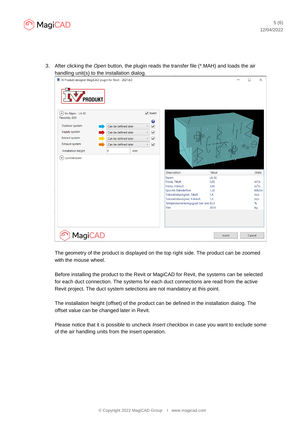

3. After clicking the *Open* button, the plugin reads the transfer file (\*.MAH) and loads the air handling unit(s) to the installation dialog.



The geometry of the product is displayed on the top right side. The product can be zoomed with the mouse wheel.

Before installing the product to the Revit or MagiCAD for Revit, the systems can be selected for each duct connection. The systems for each duct connections are read from the active Revit project. The duct system selections are not mandatory at this point.

The installation height (offset) of the product can be defined in the installation dialog. The offset value can be changed later in Revit.

Please notice that it is possible to uncheck *Insert* checkbox in case you want to exclude some of the air handling units from the insert operation.